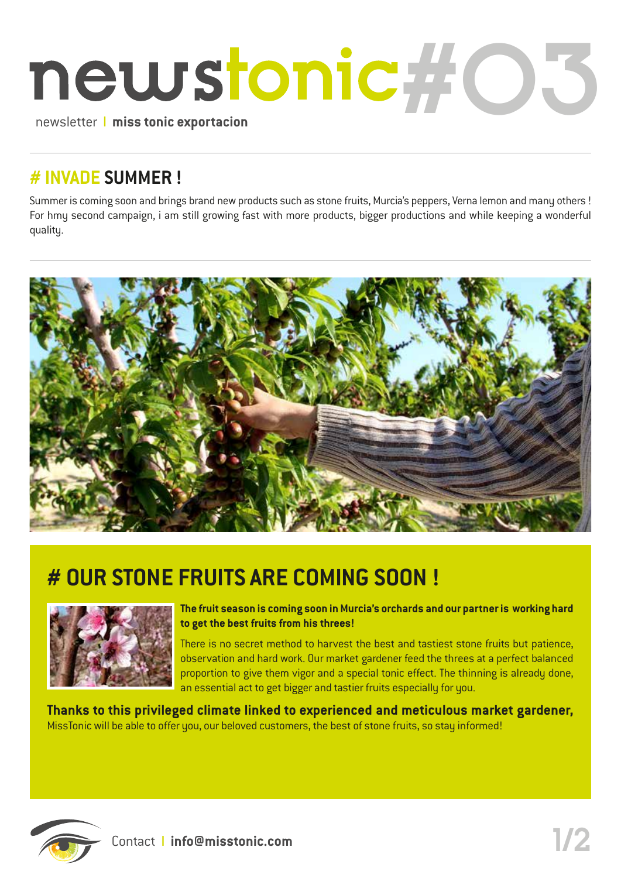

#### **# INVADE SUMMER !**

Summer is coming soon and brings brand new products such as stone fruits, Murcia's peppers, Verna lemon and many others ! For hmy second campaign, i am still growing fast with more products, bigger productions and while keeping a wonderful quality.



## **# OUR STONE FRUITS ARE COMING SOON !**



**The fruit season is coming soon in Murcia's orchards and our partner is working hard to get the best fruits from his threes!**

There is no secret method to harvest the best and tastiest stone fruits but patience, observation and hard work. Our market gardener feed the threes at a perfect balanced proportion to give them vigor and a special tonic effect. The thinning is already done, an essential act to get bigger and tastier fruits especially for you.

**Thanks to this privileged climate linked to experienced and meticulous market gardener,**  MissTonic will be able to offer you, our beloved customers, the best of stone fruits, so stay informed!